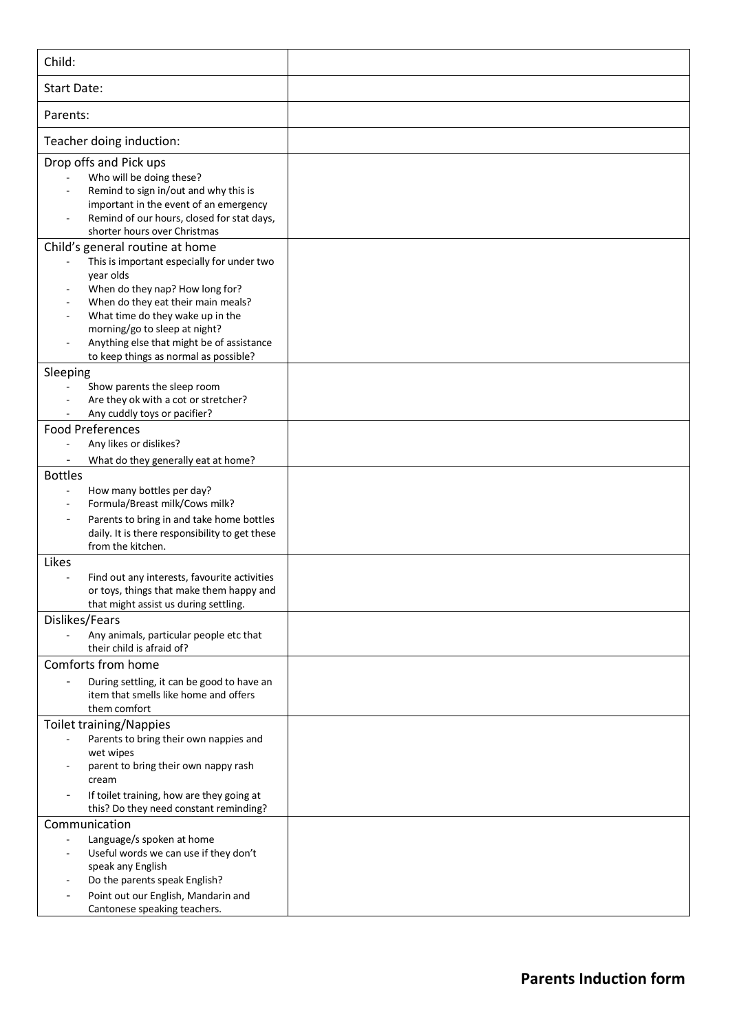| Child:                                                                                                                                                                                                                                                                                                                         |  |
|--------------------------------------------------------------------------------------------------------------------------------------------------------------------------------------------------------------------------------------------------------------------------------------------------------------------------------|--|
| <b>Start Date:</b>                                                                                                                                                                                                                                                                                                             |  |
| Parents:                                                                                                                                                                                                                                                                                                                       |  |
| Teacher doing induction:                                                                                                                                                                                                                                                                                                       |  |
| Drop offs and Pick ups<br>Who will be doing these?<br>Remind to sign in/out and why this is<br>important in the event of an emergency<br>Remind of our hours, closed for stat days,<br>shorter hours over Christmas                                                                                                            |  |
| Child's general routine at home<br>This is important especially for under two<br>year olds<br>When do they nap? How long for?<br>When do they eat their main meals?<br>What time do they wake up in the<br>morning/go to sleep at night?<br>Anything else that might be of assistance<br>to keep things as normal as possible? |  |
| Sleeping<br>Show parents the sleep room<br>Are they ok with a cot or stretcher?<br>Any cuddly toys or pacifier?                                                                                                                                                                                                                |  |
| <b>Food Preferences</b><br>Any likes or dislikes?<br>What do they generally eat at home?                                                                                                                                                                                                                                       |  |
| <b>Bottles</b><br>How many bottles per day?<br>Formula/Breast milk/Cows milk?<br>Parents to bring in and take home bottles<br>$\overline{\phantom{0}}$<br>daily. It is there responsibility to get these                                                                                                                       |  |
| from the kitchen.<br>Likes<br>Find out any interests, favourite activities<br>or toys, things that make them happy and                                                                                                                                                                                                         |  |
| that might assist us during settling.<br>Dislikes/Fears<br>Any animals, particular people etc that<br>their child is afraid of?                                                                                                                                                                                                |  |
| Comforts from home<br>During settling, it can be good to have an<br>item that smells like home and offers<br>them comfort                                                                                                                                                                                                      |  |
| <b>Toilet training/Nappies</b><br>Parents to bring their own nappies and<br>wet wipes<br>parent to bring their own nappy rash<br>cream<br>If toilet training, how are they going at<br>$\overline{\phantom{0}}$<br>this? Do they need constant reminding?                                                                      |  |
| Communication<br>Language/s spoken at home<br>÷,<br>Useful words we can use if they don't<br>speak any English<br>Do the parents speak English?<br>Point out our English, Mandarin and<br>Cantonese speaking teachers.                                                                                                         |  |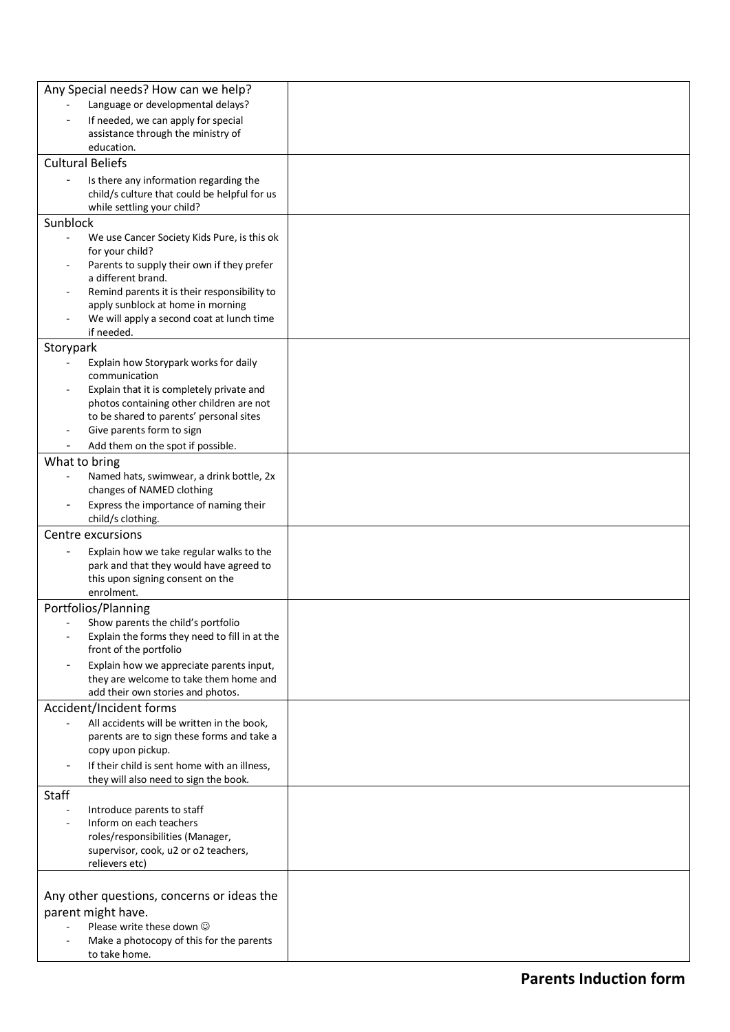| Any Special needs? How can we help?                                                    |  |
|----------------------------------------------------------------------------------------|--|
| Language or developmental delays?                                                      |  |
| If needed, we can apply for special                                                    |  |
| assistance through the ministry of                                                     |  |
| education.<br><b>Cultural Beliefs</b>                                                  |  |
|                                                                                        |  |
| Is there any information regarding the<br>child/s culture that could be helpful for us |  |
| while settling your child?                                                             |  |
| Sunblock                                                                               |  |
| We use Cancer Society Kids Pure, is this ok<br>$\blacksquare$                          |  |
| for your child?                                                                        |  |
| Parents to supply their own if they prefer<br>a different brand.                       |  |
| Remind parents it is their responsibility to                                           |  |
| apply sunblock at home in morning                                                      |  |
| We will apply a second coat at lunch time<br>$\overline{\phantom{a}}$                  |  |
| if needed.                                                                             |  |
| Storypark<br>Explain how Storypark works for daily                                     |  |
| communication                                                                          |  |
| Explain that it is completely private and                                              |  |
| photos containing other children are not<br>to be shared to parents' personal sites    |  |
| Give parents form to sign                                                              |  |
| Add them on the spot if possible.                                                      |  |
| What to bring                                                                          |  |
| Named hats, swimwear, a drink bottle, 2x                                               |  |
| changes of NAMED clothing                                                              |  |
| Express the importance of naming their<br>child/s clothing.                            |  |
| Centre excursions                                                                      |  |
| Explain how we take regular walks to the                                               |  |
| park and that they would have agreed to                                                |  |
| this upon signing consent on the                                                       |  |
| enrolment.                                                                             |  |
| Portfolios/Planning<br>Show parents the child's portfolio                              |  |
| Explain the forms they need to fill in at the                                          |  |
| front of the portfolio                                                                 |  |
| Explain how we appreciate parents input,                                               |  |
| they are welcome to take them home and                                                 |  |
| add their own stories and photos.<br>Accident/Incident forms                           |  |
| All accidents will be written in the book,<br>$\overline{\phantom{a}}$                 |  |
| parents are to sign these forms and take a                                             |  |
| copy upon pickup.                                                                      |  |
| If their child is sent home with an illness,<br>$\overline{\phantom{a}}$               |  |
| they will also need to sign the book.<br>Staff                                         |  |
| Introduce parents to staff<br>$\overline{\phantom{a}}$                                 |  |
| Inform on each teachers                                                                |  |
| roles/responsibilities (Manager,                                                       |  |
| supervisor, cook, u2 or o2 teachers,<br>relievers etc)                                 |  |
|                                                                                        |  |
| Any other questions, concerns or ideas the                                             |  |
| parent might have.                                                                     |  |
| Please write these down $\odot$                                                        |  |
| Make a photocopy of this for the parents                                               |  |
| to take home.                                                                          |  |